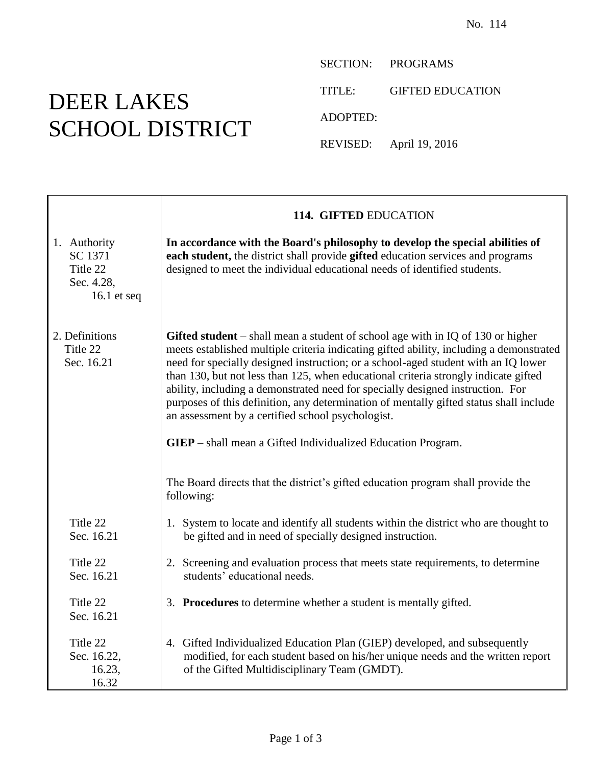## DEER LAKES SCHOOL DISTRICT

⊤

SECTION: PROGRAMS

TITLE: GIFTED EDUCATION

ADOPTED:

REVISED: April 19, 2016

|                                                                  | 114. GIFTED EDUCATION                                                                                                                                                                                                                                                                                                                                                                                                                                                                                                                                                                                                                                                                                                                                 |
|------------------------------------------------------------------|-------------------------------------------------------------------------------------------------------------------------------------------------------------------------------------------------------------------------------------------------------------------------------------------------------------------------------------------------------------------------------------------------------------------------------------------------------------------------------------------------------------------------------------------------------------------------------------------------------------------------------------------------------------------------------------------------------------------------------------------------------|
| 1. Authority<br>SC 1371<br>Title 22<br>Sec. 4.28,<br>16.1 et seq | In accordance with the Board's philosophy to develop the special abilities of<br>each student, the district shall provide gifted education services and programs<br>designed to meet the individual educational needs of identified students.                                                                                                                                                                                                                                                                                                                                                                                                                                                                                                         |
| 2. Definitions<br>Title 22<br>Sec. 16.21                         | Gifted student $-$ shall mean a student of school age with in IQ of 130 or higher<br>meets established multiple criteria indicating gifted ability, including a demonstrated<br>need for specially designed instruction; or a school-aged student with an IQ lower<br>than 130, but not less than 125, when educational criteria strongly indicate gifted<br>ability, including a demonstrated need for specially designed instruction. For<br>purposes of this definition, any determination of mentally gifted status shall include<br>an assessment by a certified school psychologist.<br><b>GIEP</b> – shall mean a Gifted Individualized Education Program.<br>The Board directs that the district's gifted education program shall provide the |
|                                                                  | following:                                                                                                                                                                                                                                                                                                                                                                                                                                                                                                                                                                                                                                                                                                                                            |
| Title 22<br>Sec. 16.21                                           | 1. System to locate and identify all students within the district who are thought to<br>be gifted and in need of specially designed instruction.                                                                                                                                                                                                                                                                                                                                                                                                                                                                                                                                                                                                      |
| Title 22<br>Sec. 16.21                                           | 2. Screening and evaluation process that meets state requirements, to determine<br>students' educational needs.                                                                                                                                                                                                                                                                                                                                                                                                                                                                                                                                                                                                                                       |
| Title 22<br>Sec. 16.21                                           | 3. Procedures to determine whether a student is mentally gifted.                                                                                                                                                                                                                                                                                                                                                                                                                                                                                                                                                                                                                                                                                      |
| Title 22<br>Sec. 16.22,<br>16.23,<br>16.32                       | 4. Gifted Individualized Education Plan (GIEP) developed, and subsequently<br>modified, for each student based on his/her unique needs and the written report<br>of the Gifted Multidisciplinary Team (GMDT).                                                                                                                                                                                                                                                                                                                                                                                                                                                                                                                                         |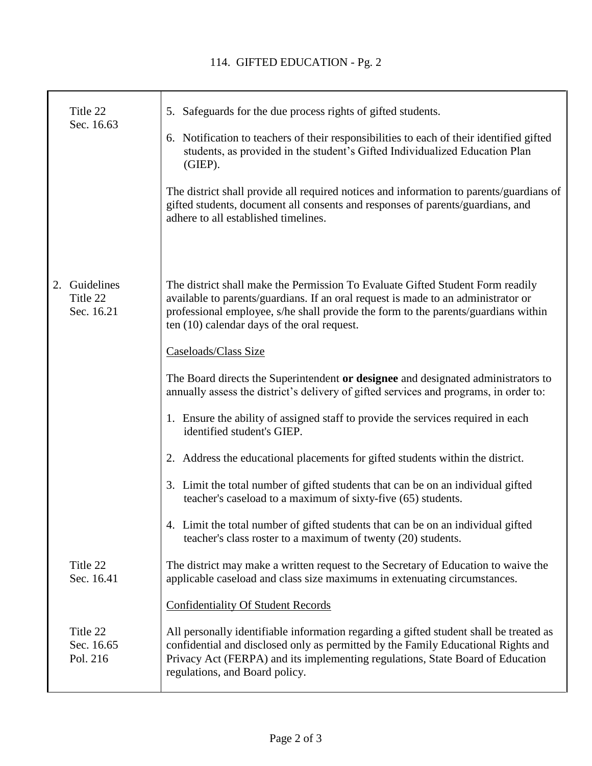┱

|    | Title 22<br>Sec. 16.63               | 5. Safeguards for the due process rights of gifted students.                                                                                                                                                                                                                                             |
|----|--------------------------------------|----------------------------------------------------------------------------------------------------------------------------------------------------------------------------------------------------------------------------------------------------------------------------------------------------------|
|    |                                      | 6. Notification to teachers of their responsibilities to each of their identified gifted<br>students, as provided in the student's Gifted Individualized Education Plan<br>(GIEP).                                                                                                                       |
|    |                                      | The district shall provide all required notices and information to parents/guardians of<br>gifted students, document all consents and responses of parents/guardians, and<br>adhere to all established timelines.                                                                                        |
| 2. | Guidelines<br>Title 22<br>Sec. 16.21 | The district shall make the Permission To Evaluate Gifted Student Form readily<br>available to parents/guardians. If an oral request is made to an administrator or<br>professional employee, s/he shall provide the form to the parents/guardians within<br>ten (10) calendar days of the oral request. |
|    |                                      | Caseloads/Class Size                                                                                                                                                                                                                                                                                     |
|    |                                      | The Board directs the Superintendent or designee and designated administrators to<br>annually assess the district's delivery of gifted services and programs, in order to:                                                                                                                               |
|    |                                      | 1. Ensure the ability of assigned staff to provide the services required in each<br>identified student's GIEP.                                                                                                                                                                                           |
|    |                                      | 2. Address the educational placements for gifted students within the district.                                                                                                                                                                                                                           |
|    |                                      | 3. Limit the total number of gifted students that can be on an individual gifted<br>teacher's caseload to a maximum of sixty-five (65) students.                                                                                                                                                         |
|    |                                      | 4. Limit the total number of gifted students that can be on an individual gifted<br>teacher's class roster to a maximum of twenty (20) students.                                                                                                                                                         |
|    | Title 22<br>Sec. 16.41               | The district may make a written request to the Secretary of Education to waive the<br>applicable caseload and class size maximums in extenuating circumstances.                                                                                                                                          |
|    |                                      | <b>Confidentiality Of Student Records</b>                                                                                                                                                                                                                                                                |
|    | Title 22<br>Sec. 16.65<br>Pol. 216   | All personally identifiable information regarding a gifted student shall be treated as<br>confidential and disclosed only as permitted by the Family Educational Rights and<br>Privacy Act (FERPA) and its implementing regulations, State Board of Education<br>regulations, and Board policy.          |